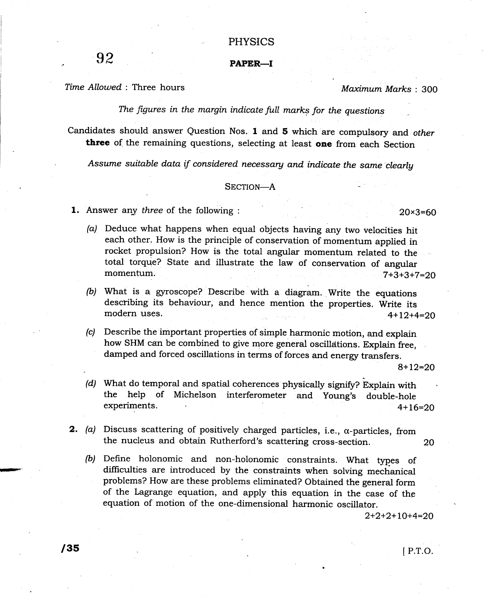## PHYSICS

## PAPER-I

Time Allowed : Three hours

92

Maximum Marks: 300

The figures in the margin indicate full marks for the questions

Candidates should answer Question Nos. 1 and 5 which'are compulsory and other three of the remaining questions, selecting at least one from each Section

Assume suitable data if considered necessary and indicate the same clearly

## SECTION-A

- 1. Answer any three of the following :
	- $(a)$  Deduce what happens when equal objects having any two velocities hit each other. How is the principle of conservatioh of momentum applied in rocket propulsion? How is the total angular momentum related to the total torque? State and illustrate the law of conservation of angular momentum.  $7+3+3+7=20$
	- (b) What is a gyroscope? Describe with a diagram. Write the equations describing its behaviour, and hence mention the properties. Write its modern uses. 4+12+4=20
	- (c) Describe the important properties of simple harmonic motion, and explain how SHM can be combined to give more general oscillations. Explain free, damped and forced oscillations in terms of forces and energy transfers.

8+12=20

20x3=60

- (d) What do temporal and spatial coherences physically signify? Explain with the help of Michelson interferometer and Young's double-hole experiments. 4+16=29
- 2. (a) Discuss scattering of positively charged particles, i.e.,  $\alpha$ -particles, from the nucleus and obtain Rutherford's scattering cross-section. 20
	- (b) Define holonomic and non-holonomic constraints. what types of difliculties are introduced by the constraints when solving mechanical problems? How are these problems eliminated? Obtained the general form of the Lagrange equation, and apply this equation in the case of the equation of motion of the one-dimensional harmonic oscillator.

 $2+2+2+10+4=20$ 

/gs <sup>I</sup>P.T.O.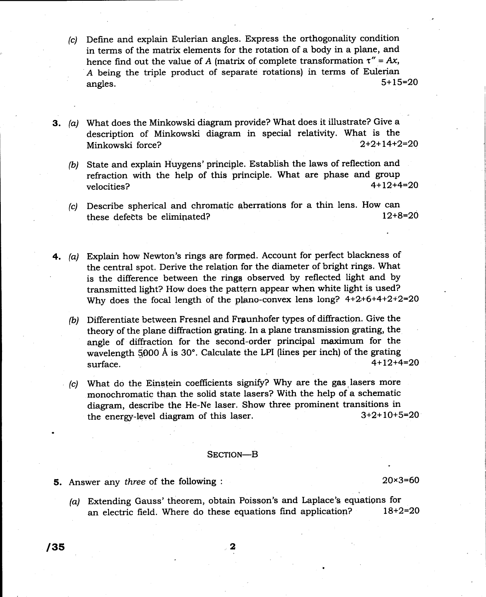- (c) Define and explain Eulerian angles. Express the orthogonality condition in terms of the matrix elements for the rotation of a body in a plane, and hence find out the value of A (matrix of complete transformation  $\tau'' = Ax$ , A being the triple product of separate rotations) in terms of Eulerian<br>  $5+15=20$ angles.  $5+15=20$
- 3. (a) What does the Minkowski diagram provide? What does it illustrate? Give <sup>a</sup> description of Minkowski diagram in special relativity. What is the<br>Minkowski force?<br> $2+2+14+2=20$ Minkowski force?
	- (b) State and explain Huygeng' prineiple. Establish the laws of reflection and refraction with the help of this principle. What are phase and group<br> $velocities$ ?<br> $4+12+4=20$ velocities?  $4+12+4=20$
	- (c) Describe spherical and chromatic aberrations for a thin lens. How can these defects be eliminated?  $12+8=20$ these defects be eliminated?
- 4. (a) Explain how Newton's rings are formed. Account for perfect blackness of the central spot. Derive the relation for the diameter of bright rings, What is the difference between the rings observed by reflected light and by transmitted light? How does the pattern appear when white light is used? Why does the focal length of the plano-convex lens long?  $4+2+6+4+2+2=20$ 
	- (b)  $\,$  Differentiate between Fresnel and Fraunhofer types of diffraction. Give the  $\,$ theory of the plane diffraction grating. In a plane transmission grating, the angle of diffraction for the second-order principal maximum for the wavelength 5000 Å is 30°. Calculate the LPI (lines per inch) of the grating  $4+12+4=20$  $\frac{4+12+4=20}{2}$
	- $(c)$  What do the Einstein coefficients signify? Why are the gas lasers more monochromatic than the solid state lasers? With the help of a schematic diagram, describe the He-Ne laser. Show three prominent transitions in<br>the energy-level diagram of this laser.  $3+2+10+5=20$ the energy-level diagram of this laser.

## SECTION-B

5. Answer any three of the following :

20x3=6O

(a) Extending Gauss' theorem, obtain Poisson's and Laplace's equations for an electric field. Where do these equations find application?  $18+2=20$ 

 $/35$  2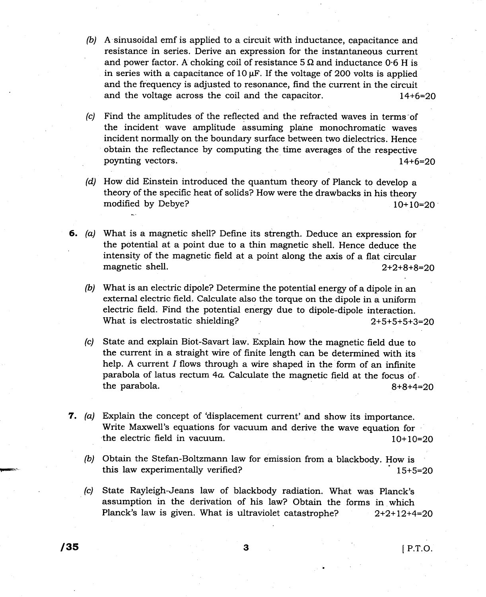- (b) A sinusoidal emf is applied to a circuit with inductancg, capacitance and resistance in series. Derive an expression for the instantanegus current and power factor. A choking coil of resistance  $5\Omega$  and inductance 0.6 H is in series with a capacitance of  $10 \mu$ F. If the voltage of 200 volts is applied and the frequency is adjusted to resonance, find the current in the circuit and the voltage across the coil and the capacitor.  $14+6=20$
- (c) Find the amplitudes of the reflected and the refracted waves in terms"of the incident wave amplitude assuming plahe monochromatic waves incident normally on the boundary surface between two dielectrics. Hence obtain the reflectance by computing the time averages of the respective poynting vectors. L4+6=29
- (d) How did Einstein introduced the quantum theory of Planck to develop <sup>a</sup> theory of the specific heat of solids? How were the drawbacks in his theory modified by Debye?  $10+10=20$
- 6. (a) What is a magnetic shell? Define its strength. Deduce an expression for the potential at a point due to a thin magnetic shell. Hence deduce the intensity of the magnetic field at a point along the axis of a flat circular magnetic shell.  $2+2+8+8=20$ 
	- (b) What is an electric dipole? Determine the potential energr of a dipole in an external electric field. Calculate also the torque on the dipole in a uniform electric field. Find the potential energr due to dipole-dipole interaction. What is electrostatic shielding? 2+5+5+5+3=20
	- (c) State and explain Biot-Savart law. Explain how the magnetic field due to the current in a straight wire of Iinite length can be determined with its help. A current  $I$  flows through a wire shaped in the form of an infinite parabola of latus rectum 4a Calculate the magnetic field at the focus of . the parabola.  $8+8+4=20$
- 7. (a) Explain the concept of 'displacement current' and show its importance. Write Maxwell's equations for vacuum and derive the wave equation for the electric field in vacuum. 10+ 10=20
	- (b) Obtain the Stefan-Boltzmann law for emission from a blackbody. How is this law experimentally verified? 15+5=20
	- State Rayleigh-Jeans law of blackbody radiation. What was Planck's assumption in the derivation of his law? Obtain the forms in which Planck's law is given. What is ultraviolet catastrophe?  $2+2+12+4=20$  $(c)$

/3s <sup>3</sup> <sup>I</sup>P.T.o.